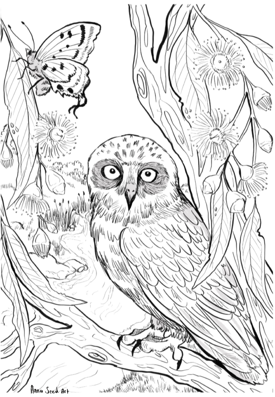